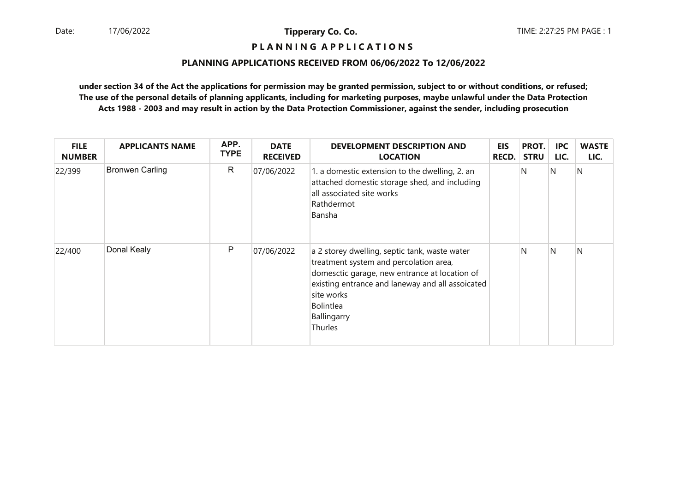# **P L A N N I N G A P P L I C A T I O N S**

#### **PLANNING APPLICATIONS RECEIVED FROM 06/06/2022 To 12/06/2022**

| <b>FILE</b><br><b>NUMBER</b> | <b>APPLICANTS NAME</b> | APP.<br><b>TYPE</b> | <b>DATE</b><br><b>RECEIVED</b> | <b>DEVELOPMENT DESCRIPTION AND</b><br><b>LOCATION</b>                                                                                                                                                                                                    | <b>EIS</b><br><b>RECD.</b> | PROT.<br><b>STRU</b> | <b>IPC</b><br>LIC. | <b>WASTE</b><br>LIC. |
|------------------------------|------------------------|---------------------|--------------------------------|----------------------------------------------------------------------------------------------------------------------------------------------------------------------------------------------------------------------------------------------------------|----------------------------|----------------------|--------------------|----------------------|
| 22/399                       | <b>Bronwen Carling</b> | R                   | 07/06/2022                     | 1. a domestic extension to the dwelling, 2. an<br>attached domestic storage shed, and including<br>all associated site works<br>Rathdermot<br>Bansha                                                                                                     |                            | N                    | IN.                | N                    |
| 22/400                       | Donal Kealy            | P                   | 07/06/2022                     | a 2 storey dwelling, septic tank, waste water<br>treatment system and percolation area,<br>domesctic garage, new entrance at location of<br>existing entrance and laneway and all assoicated<br>site works<br><b>Bolintlea</b><br>Ballingarry<br>Thurles |                            | N                    | N                  | N                    |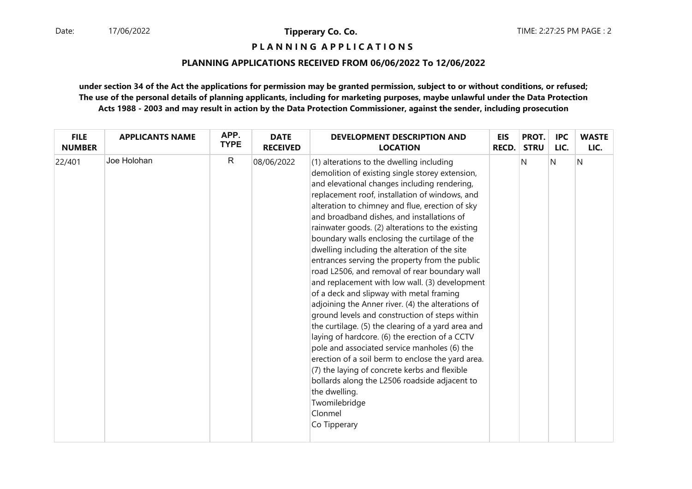# **P L A N N I N G A P P L I C A T I O N S**

## **PLANNING APPLICATIONS RECEIVED FROM 06/06/2022 To 12/06/2022**

| <b>FILE</b>   | <b>APPLICANTS NAME</b> | APP.         | <b>DATE</b>     | <b>DEVELOPMENT DESCRIPTION AND</b>                                                                                                                                                                                                                                                                                                                                                                                                                                                                                                                                                                                                                                                                                                                                                                                                                                                                                                                                                                                                                                                                                                        | <b>EIS</b>   | PROT.       | <b>IPC</b> | <b>WASTE</b> |
|---------------|------------------------|--------------|-----------------|-------------------------------------------------------------------------------------------------------------------------------------------------------------------------------------------------------------------------------------------------------------------------------------------------------------------------------------------------------------------------------------------------------------------------------------------------------------------------------------------------------------------------------------------------------------------------------------------------------------------------------------------------------------------------------------------------------------------------------------------------------------------------------------------------------------------------------------------------------------------------------------------------------------------------------------------------------------------------------------------------------------------------------------------------------------------------------------------------------------------------------------------|--------------|-------------|------------|--------------|
| <b>NUMBER</b> |                        | <b>TYPE</b>  | <b>RECEIVED</b> | <b>LOCATION</b>                                                                                                                                                                                                                                                                                                                                                                                                                                                                                                                                                                                                                                                                                                                                                                                                                                                                                                                                                                                                                                                                                                                           | <b>RECD.</b> | <b>STRU</b> | LIC.       | LIC.         |
| 22/401        | Joe Holohan            | $\mathsf{R}$ | 08/06/2022      | (1) alterations to the dwelling including<br>demolition of existing single storey extension,<br>and elevational changes including rendering,<br>replacement roof, installation of windows, and<br>alteration to chimney and flue, erection of sky<br>and broadband dishes, and installations of<br>rainwater goods. (2) alterations to the existing<br>boundary walls enclosing the curtilage of the<br>dwelling including the alteration of the site<br>entrances serving the property from the public<br>road L2506, and removal of rear boundary wall<br>and replacement with low wall. (3) development<br>of a deck and slipway with metal framing<br>adjoining the Anner river. (4) the alterations of<br>ground levels and construction of steps within<br>the curtilage. (5) the clearing of a yard area and<br>laying of hardcore. (6) the erection of a CCTV<br>pole and associated service manholes (6) the<br>erection of a soil berm to enclose the yard area.<br>(7) the laying of concrete kerbs and flexible<br>bollards along the L2506 roadside adjacent to<br>the dwelling.<br>Twomilebridge<br>Clonmel<br>Co Tipperary |              | N           | N          | N            |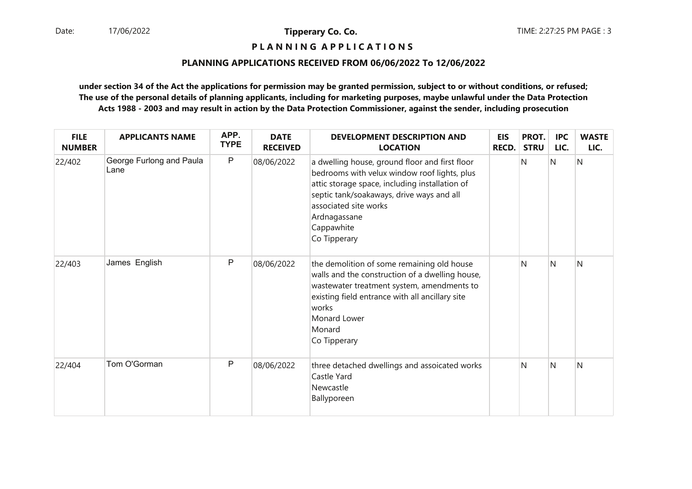# **P L A N N I N G A P P L I C A T I O N S**

#### **PLANNING APPLICATIONS RECEIVED FROM 06/06/2022 To 12/06/2022**

| <b>FILE</b><br><b>NUMBER</b> | <b>APPLICANTS NAME</b>           | APP.<br><b>TYPE</b> | <b>DATE</b><br><b>RECEIVED</b> | <b>DEVELOPMENT DESCRIPTION AND</b><br><b>LOCATION</b>                                                                                                                                                                                                                | <b>EIS</b><br><b>RECD.</b> | PROT.<br><b>STRU</b> | <b>IPC</b><br>LIC. | <b>WASTE</b><br>LIC. |
|------------------------------|----------------------------------|---------------------|--------------------------------|----------------------------------------------------------------------------------------------------------------------------------------------------------------------------------------------------------------------------------------------------------------------|----------------------------|----------------------|--------------------|----------------------|
| 22/402                       | George Furlong and Paula<br>Lane | $\mathsf{P}$        | 08/06/2022                     | a dwelling house, ground floor and first floor<br>bedrooms with velux window roof lights, plus<br>attic storage space, including installation of<br>septic tank/soakaways, drive ways and all<br>associated site works<br>Ardnagassane<br>Cappawhite<br>Co Tipperary |                            | N                    | N                  | N                    |
| 22/403                       | James English                    | P                   | 08/06/2022                     | the demolition of some remaining old house<br>walls and the construction of a dwelling house,<br>wastewater treatment system, amendments to<br>existing field entrance with all ancillary site<br>works<br>Monard Lower<br>Monard<br>Co Tipperary                    |                            | N                    | N                  | N                    |
| 22/404                       | Tom O'Gorman                     | P                   | 08/06/2022                     | three detached dwellings and assoicated works<br>Castle Yard<br>Newcastle<br>Ballyporeen                                                                                                                                                                             |                            | N                    | N                  | N                    |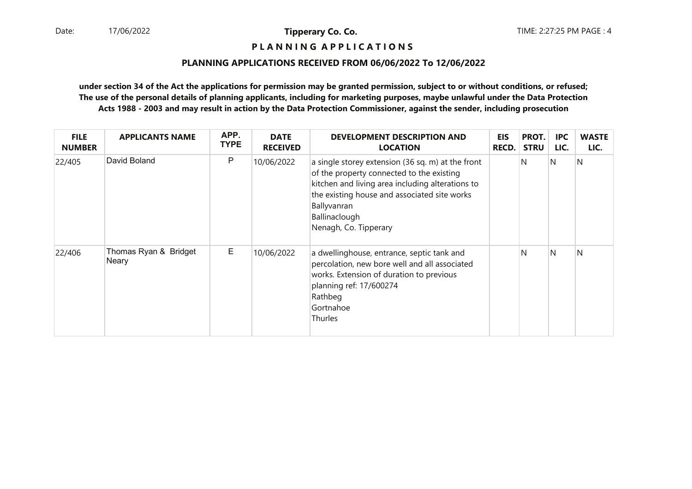# **P L A N N I N G A P P L I C A T I O N S**

#### **PLANNING APPLICATIONS RECEIVED FROM 06/06/2022 To 12/06/2022**

| <b>FILE</b><br><b>NUMBER</b> | <b>APPLICANTS NAME</b>         | APP.<br><b>TYPE</b> | <b>DATE</b><br><b>RECEIVED</b> | <b>DEVELOPMENT DESCRIPTION AND</b><br><b>LOCATION</b>                                                                                                                                                                                                       | <b>EIS</b><br><b>RECD.</b> | PROT.<br><b>STRU</b> | <b>IPC</b><br>LIC. | <b>WASTE</b><br>LIC. |
|------------------------------|--------------------------------|---------------------|--------------------------------|-------------------------------------------------------------------------------------------------------------------------------------------------------------------------------------------------------------------------------------------------------------|----------------------------|----------------------|--------------------|----------------------|
| 22/405                       | David Boland                   | P                   | 10/06/2022                     | a single storey extension (36 sq. m) at the front<br>of the property connected to the existing<br>kitchen and living area including alterations to<br>the existing house and associated site works<br>Ballyvanran<br>Ballinaclough<br>Nenagh, Co. Tipperary |                            | N                    | N                  | N                    |
| 22/406                       | Thomas Ryan & Bridget<br>Neary | E                   | 10/06/2022                     | a dwellinghouse, entrance, septic tank and<br>percolation, new bore well and all associated<br>works. Extension of duration to previous<br>planning ref: 17/600274<br>Rathbeg<br>Gortnahoe<br>Thurles                                                       |                            | N                    | <sup>N</sup>       | N                    |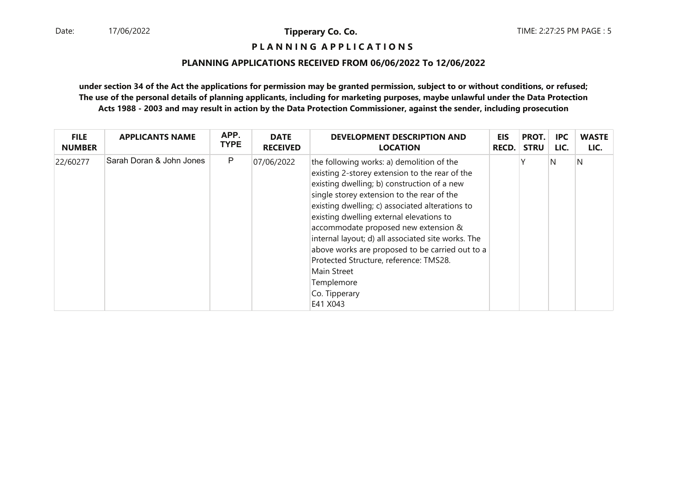# **P L A N N I N G A P P L I C A T I O N S**

#### **PLANNING APPLICATIONS RECEIVED FROM 06/06/2022 To 12/06/2022**

| <b>FILE</b>   | <b>APPLICANTS NAME</b>   | APP.        | <b>DATE</b>     | DEVELOPMENT DESCRIPTION AND                                                                                                                                                                                                                                                                                                                                                                                                                                                                                                                  | <b>EIS</b>   | PROT.       | IPC. | <b>WASTE</b> |
|---------------|--------------------------|-------------|-----------------|----------------------------------------------------------------------------------------------------------------------------------------------------------------------------------------------------------------------------------------------------------------------------------------------------------------------------------------------------------------------------------------------------------------------------------------------------------------------------------------------------------------------------------------------|--------------|-------------|------|--------------|
| <b>NUMBER</b> |                          | <b>TYPE</b> | <b>RECEIVED</b> | <b>LOCATION</b>                                                                                                                                                                                                                                                                                                                                                                                                                                                                                                                              | <b>RECD.</b> | <b>STRU</b> | LIC. | LIC.         |
| 22/60277      | Sarah Doran & John Jones | P           | 07/06/2022      | the following works: a) demolition of the<br>existing 2-storey extension to the rear of the<br>existing dwelling; b) construction of a new<br>single storey extension to the rear of the<br>existing dwelling; c) associated alterations to<br>existing dwelling external elevations to<br>accommodate proposed new extension &<br>internal layout; d) all associated site works. The<br>above works are proposed to be carried out to a<br>Protected Structure, reference: TMS28.<br>Main Street<br>Templemore<br>Co. Tipperary<br>E41 X043 |              |             | N    | N            |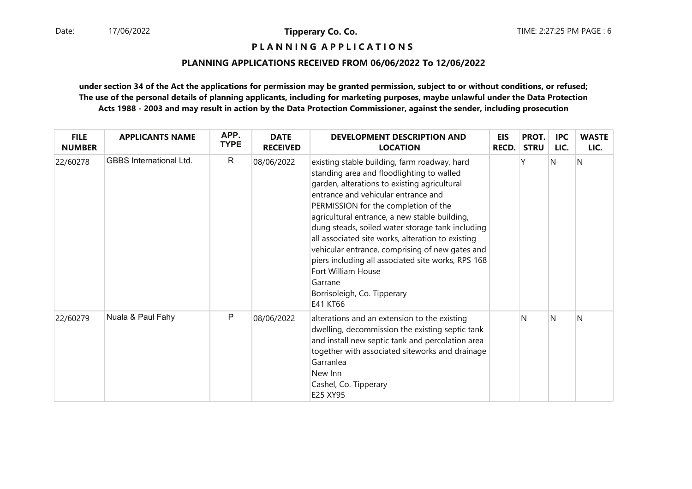**P L A N N I N G A P P L I C A T I O N S** 

## **PLANNING APPLICATIONS RECEIVED FROM 06/06/2022 To 12/06/2022**

| <b>FILE</b><br><b>NUMBER</b> | <b>APPLICANTS NAME</b>         | APP.<br><b>TYPE</b> | <b>DATE</b><br><b>RECEIVED</b> | DEVELOPMENT DESCRIPTION AND<br><b>LOCATION</b>                                                                                                                                                                                                                                                                                                                                                                                                                                                                                                                          | <b>EIS</b><br><b>RECD.</b> | PROT.<br><b>STRU</b> | <b>IPC</b><br>LIC. | <b>WASTE</b><br>LIC. |
|------------------------------|--------------------------------|---------------------|--------------------------------|-------------------------------------------------------------------------------------------------------------------------------------------------------------------------------------------------------------------------------------------------------------------------------------------------------------------------------------------------------------------------------------------------------------------------------------------------------------------------------------------------------------------------------------------------------------------------|----------------------------|----------------------|--------------------|----------------------|
| 22/60278                     | <b>GBBS</b> International Ltd. | $\mathsf{R}$        | 08/06/2022                     | existing stable building, farm roadway, hard<br>standing area and floodlighting to walled<br>garden, alterations to existing agricultural<br>entrance and vehicular entrance and<br>PERMISSION for the completion of the<br>agricultural entrance, a new stable building,<br>dung steads, soiled water storage tank including<br>all associated site works, alteration to existing<br>vehicular entrance, comprising of new gates and<br>piers including all associated site works, RPS 168<br>Fort William House<br>Garrane<br>Borrisoleigh, Co. Tipperary<br>E41 KT66 |                            |                      | <sup>N</sup>       | N                    |
| 22/60279                     | Nuala & Paul Fahy              | P                   | 08/06/2022                     | alterations and an extension to the existing<br>dwelling, decommission the existing septic tank<br>and install new septic tank and percolation area<br>together with associated siteworks and drainage<br>Garranlea<br>New Inn<br>Cashel, Co. Tipperary<br>E25 XY95                                                                                                                                                                                                                                                                                                     |                            | N                    | N                  | N                    |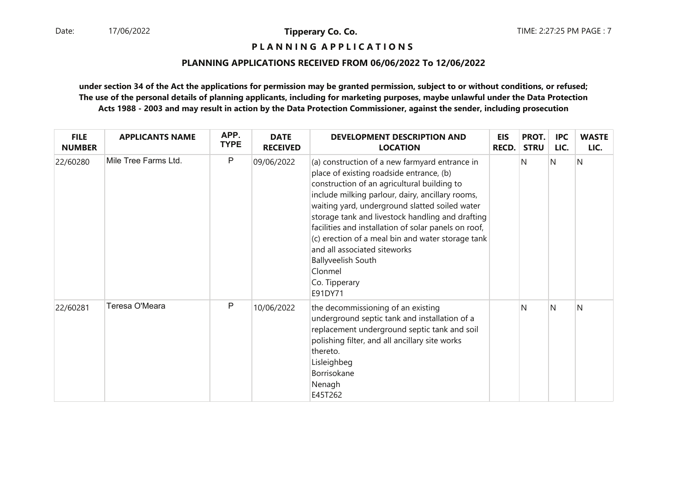**P L A N N I N G A P P L I C A T I O N S** 

## **PLANNING APPLICATIONS RECEIVED FROM 06/06/2022 To 12/06/2022**

| <b>FILE</b><br><b>NUMBER</b> | <b>APPLICANTS NAME</b> | APP.<br><b>TYPE</b> | <b>DATE</b><br><b>RECEIVED</b> | DEVELOPMENT DESCRIPTION AND<br><b>LOCATION</b>                                                                                                                                                                                                                                                                                                                                                                                                                                                                       | <b>EIS</b><br><b>RECD.</b> | PROT.<br><b>STRU</b> | <b>IPC</b><br>LIC. | <b>WASTE</b><br>LIC. |
|------------------------------|------------------------|---------------------|--------------------------------|----------------------------------------------------------------------------------------------------------------------------------------------------------------------------------------------------------------------------------------------------------------------------------------------------------------------------------------------------------------------------------------------------------------------------------------------------------------------------------------------------------------------|----------------------------|----------------------|--------------------|----------------------|
| 22/60280                     | Mile Tree Farms Ltd.   | $\mathsf{P}$        | 09/06/2022                     | (a) construction of a new farmyard entrance in<br>place of existing roadside entrance, (b)<br>construction of an agricultural building to<br>include milking parlour, dairy, ancillary rooms,<br>waiting yard, underground slatted soiled water<br>storage tank and livestock handling and drafting<br>facilities and installation of solar panels on roof,<br>(c) erection of a meal bin and water storage tank<br>and all associated siteworks<br><b>Ballyveelish South</b><br>Clonmel<br>Co. Tipperary<br>E91DY71 |                            | N                    | N                  | N                    |
| 22/60281                     | Teresa O'Meara         | $\mathsf{P}$        | 10/06/2022                     | the decommissioning of an existing<br>underground septic tank and installation of a<br>replacement underground septic tank and soil<br>polishing filter, and all ancillary site works<br>thereto.<br>Lisleighbeg<br>Borrisokane<br>Nenagh<br>E45T262                                                                                                                                                                                                                                                                 |                            | N                    | N                  | N                    |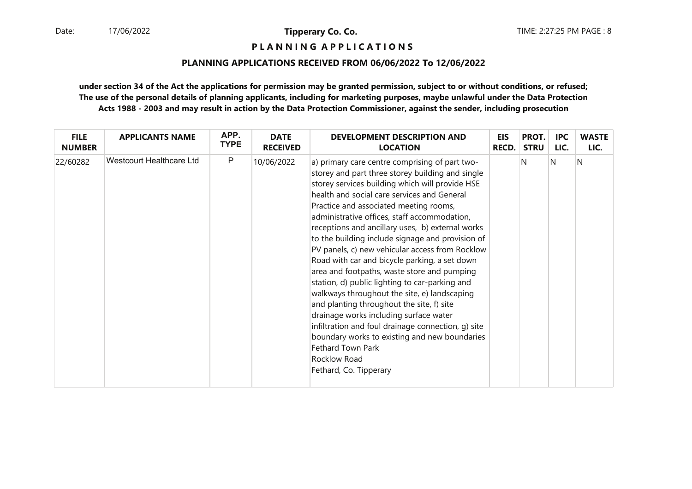# **P L A N N I N G A P P L I C A T I O N S**

## **PLANNING APPLICATIONS RECEIVED FROM 06/06/2022 To 12/06/2022**

| <b>FILE</b>   | <b>APPLICANTS NAME</b>          | APP.         | <b>DATE</b>     | <b>DEVELOPMENT DESCRIPTION AND</b>                                                                                                                                                                                                                                                                                                                                                                                                                                                                                                                                                                                                                                                                                                                                                                                                                                                                                       | <b>EIS</b>   | PROT.       | <b>IPC</b> | <b>WASTE</b> |
|---------------|---------------------------------|--------------|-----------------|--------------------------------------------------------------------------------------------------------------------------------------------------------------------------------------------------------------------------------------------------------------------------------------------------------------------------------------------------------------------------------------------------------------------------------------------------------------------------------------------------------------------------------------------------------------------------------------------------------------------------------------------------------------------------------------------------------------------------------------------------------------------------------------------------------------------------------------------------------------------------------------------------------------------------|--------------|-------------|------------|--------------|
| <b>NUMBER</b> |                                 | <b>TYPE</b>  | <b>RECEIVED</b> | <b>LOCATION</b>                                                                                                                                                                                                                                                                                                                                                                                                                                                                                                                                                                                                                                                                                                                                                                                                                                                                                                          | <b>RECD.</b> | <b>STRU</b> | LIC.       | LIC.         |
| 22/60282      | <b>Westcourt Healthcare Ltd</b> | $\mathsf{P}$ | 10/06/2022      | a) primary care centre comprising of part two-<br>storey and part three storey building and single<br>storey services building which will provide HSE<br>health and social care services and General<br>Practice and associated meeting rooms,<br>administrative offices, staff accommodation,<br>receptions and ancillary uses, b) external works<br>to the building include signage and provision of<br>PV panels, c) new vehicular access from Rocklow<br>Road with car and bicycle parking, a set down<br>area and footpaths, waste store and pumping<br>station, d) public lighting to car-parking and<br>walkways throughout the site, e) landscaping<br>and planting throughout the site, f) site<br>drainage works including surface water<br>infiltration and foul drainage connection, g) site<br>boundary works to existing and new boundaries<br>Fethard Town Park<br>Rocklow Road<br>Fethard, Co. Tipperary |              | N           | N          | N            |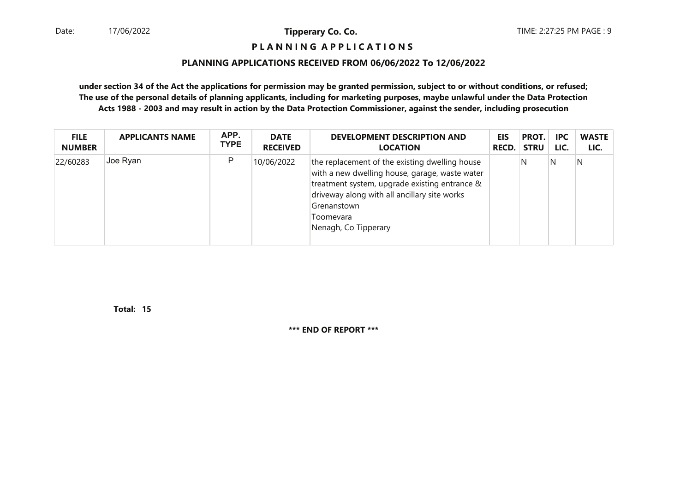# **P L A N N I N G A P P L I C A T I O N S**

#### **PLANNING APPLICATIONS RECEIVED FROM 06/06/2022 To 12/06/2022**

**under section 34 of the Act the applications for permission may be granted permission, subject to or without conditions, or refused; The use of the personal details of planning applicants, including for marketing purposes, maybe unlawful under the Data ProtectionActs 1988 - 2003 and may result in action by the Data Protection Commissioner, against the sender, including prosecution**

| <b>FILE</b>   | <b>APPLICANTS NAME</b> | APP.        | <b>DATE</b>     | <b>DEVELOPMENT DESCRIPTION AND</b>                                                                                                                                                                                                                    | <b>EIS</b> | PROT.       | <b>IPC</b> | <b>WASTE</b> |
|---------------|------------------------|-------------|-----------------|-------------------------------------------------------------------------------------------------------------------------------------------------------------------------------------------------------------------------------------------------------|------------|-------------|------------|--------------|
| <b>NUMBER</b> |                        | <b>TYPE</b> | <b>RECEIVED</b> | <b>LOCATION</b>                                                                                                                                                                                                                                       | RECD.      | <b>STRU</b> | LIC.       | LIC.         |
| 22/60283      | Joe Ryan               | P           | 10/06/2022      | the replacement of the existing dwelling house<br>with a new dwelling house, garage, waste water<br>treatment system, upgrade existing entrance &<br>driveway along with all ancillary site works<br>Grenanstown<br>Toomevara<br>Nenagh, Co Tipperary |            | N           | N          | N            |

**15Total:**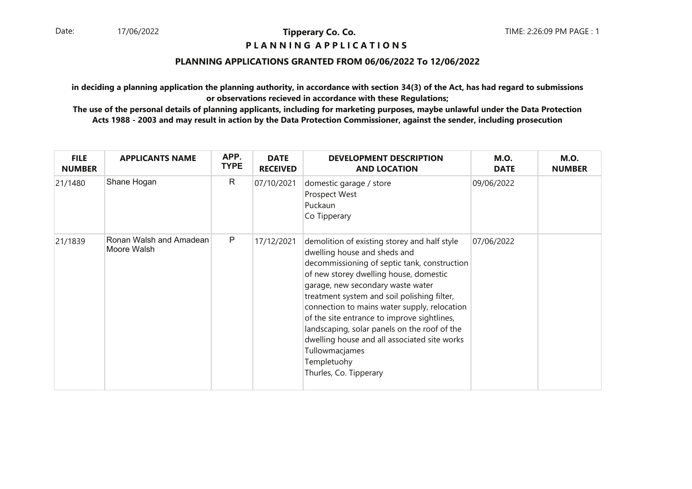# **P L A N N I N G A P P L I C A T I O N S**

# **PLANNING APPLICATIONS GRANTED FROM 06/06/2022 To 12/06/2022**

**in deciding a planning application the planning authority, in accordance with section 34(3) of the Act, has had regard to submissionsor observations recieved in accordance with these Regulations;**

| <b>FILE</b><br><b>NUMBER</b> | <b>APPLICANTS NAME</b>                 | APP.<br><b>TYPE</b> | <b>DATE</b><br><b>RECEIVED</b> | <b>DEVELOPMENT DESCRIPTION</b><br><b>AND LOCATION</b>                                                                                                                                                                                                                                                                                                                                                                                                                                                                | <b>M.O.</b><br><b>DATE</b> | <b>M.O.</b><br><b>NUMBER</b> |
|------------------------------|----------------------------------------|---------------------|--------------------------------|----------------------------------------------------------------------------------------------------------------------------------------------------------------------------------------------------------------------------------------------------------------------------------------------------------------------------------------------------------------------------------------------------------------------------------------------------------------------------------------------------------------------|----------------------------|------------------------------|
| 21/1480                      | Shane Hogan                            | $\mathsf{R}$        | 07/10/2021                     | domestic garage / store<br>Prospect West<br>Puckaun<br>Co Tipperary                                                                                                                                                                                                                                                                                                                                                                                                                                                  | 09/06/2022                 |                              |
| 21/1839                      | Ronan Walsh and Amadean<br>Moore Walsh | $\mathsf{P}$        | 17/12/2021                     | demolition of existing storey and half style<br>dwelling house and sheds and<br>decommissioning of septic tank, construction<br>of new storey dwelling house, domestic<br>garage, new secondary waste water<br>treatment system and soil polishing filter,<br>connection to mains water supply, relocation<br>of the site entrance to improve sightlines,<br>landscaping, solar panels on the roof of the<br>dwelling house and all associated site works<br>Tullowmacjames<br>Templetuohy<br>Thurles, Co. Tipperary | 07/06/2022                 |                              |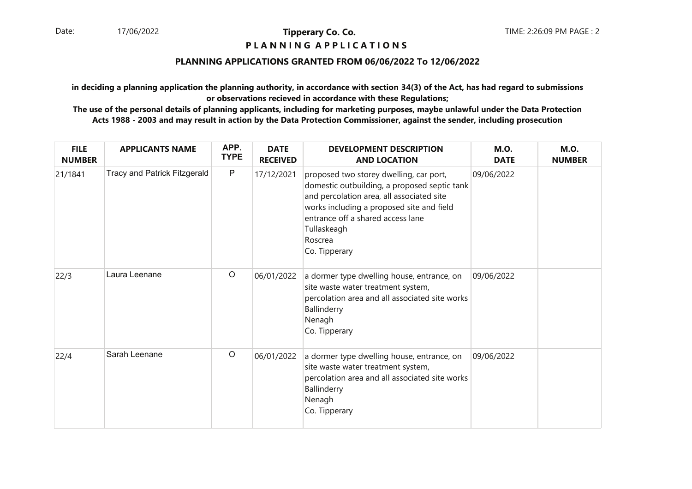# **P L A N N I N G A P P L I C A T I O N S**

# **PLANNING APPLICATIONS GRANTED FROM 06/06/2022 To 12/06/2022**

**in deciding a planning application the planning authority, in accordance with section 34(3) of the Act, has had regard to submissionsor observations recieved in accordance with these Regulations;**

| <b>FILE</b><br><b>NUMBER</b> | <b>APPLICANTS NAME</b>       | APP.<br><b>TYPE</b> | <b>DATE</b><br><b>RECEIVED</b> | <b>DEVELOPMENT DESCRIPTION</b><br><b>AND LOCATION</b>                                                                                                                                                                                                             | <b>M.O.</b><br><b>DATE</b> | <b>M.O.</b><br><b>NUMBER</b> |
|------------------------------|------------------------------|---------------------|--------------------------------|-------------------------------------------------------------------------------------------------------------------------------------------------------------------------------------------------------------------------------------------------------------------|----------------------------|------------------------------|
| 21/1841                      | Tracy and Patrick Fitzgerald | $\mathsf{P}$        | 17/12/2021                     | proposed two storey dwelling, car port,<br>domestic outbuilding, a proposed septic tank<br>and percolation area, all associated site<br>works including a proposed site and field<br>entrance off a shared access lane<br>Tullaskeagh<br>Roscrea<br>Co. Tipperary | 09/06/2022                 |                              |
| 22/3                         | Laura Leenane                | $\circ$             | 06/01/2022                     | a dormer type dwelling house, entrance, on<br>site waste water treatment system,<br>percolation area and all associated site works<br>Ballinderry<br>Nenagh<br>Co. Tipperary                                                                                      | 09/06/2022                 |                              |
| 22/4                         | Sarah Leenane                | $\circ$             | 06/01/2022                     | a dormer type dwelling house, entrance, on<br>site waste water treatment system,<br>percolation area and all associated site works<br>Ballinderry<br>Nenagh<br>Co. Tipperary                                                                                      | 09/06/2022                 |                              |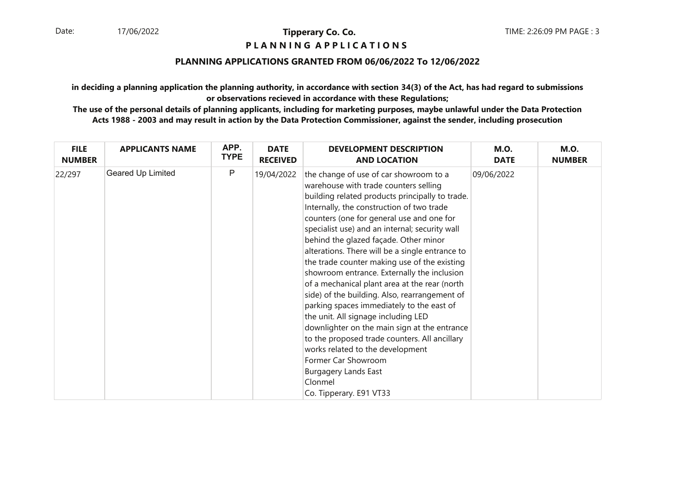# **P L A N N I N G A P P L I C A T I O N S**

# **PLANNING APPLICATIONS GRANTED FROM 06/06/2022 To 12/06/2022**

**in deciding a planning application the planning authority, in accordance with section 34(3) of the Act, has had regard to submissionsor observations recieved in accordance with these Regulations;**

| <b>FILE</b>   | <b>APPLICANTS NAME</b> | APP.        | <b>DATE</b>     | <b>DEVELOPMENT DESCRIPTION</b>                                                                                                                                                                                                                                                                                                                                                                                                                                                                                                                                                                                                                                                                                                                                                                                                                                                                   | <b>M.O.</b> | <b>M.O.</b>   |
|---------------|------------------------|-------------|-----------------|--------------------------------------------------------------------------------------------------------------------------------------------------------------------------------------------------------------------------------------------------------------------------------------------------------------------------------------------------------------------------------------------------------------------------------------------------------------------------------------------------------------------------------------------------------------------------------------------------------------------------------------------------------------------------------------------------------------------------------------------------------------------------------------------------------------------------------------------------------------------------------------------------|-------------|---------------|
| <b>NUMBER</b> |                        | <b>TYPE</b> | <b>RECEIVED</b> | <b>AND LOCATION</b>                                                                                                                                                                                                                                                                                                                                                                                                                                                                                                                                                                                                                                                                                                                                                                                                                                                                              | <b>DATE</b> | <b>NUMBER</b> |
| 22/297        | Geared Up Limited      | P           | 19/04/2022      | the change of use of car showroom to a<br>warehouse with trade counters selling<br>building related products principally to trade.<br>Internally, the construction of two trade<br>counters (one for general use and one for<br>specialist use) and an internal; security wall<br>behind the glazed façade. Other minor<br>alterations. There will be a single entrance to<br>the trade counter making use of the existing<br>showroom entrance. Externally the inclusion<br>of a mechanical plant area at the rear (north<br>side) of the building. Also, rearrangement of<br>parking spaces immediately to the east of<br>the unit. All signage including LED<br>downlighter on the main sign at the entrance<br>to the proposed trade counters. All ancillary<br>works related to the development<br>Former Car Showroom<br><b>Burgagery Lands East</b><br>Clonmel<br>Co. Tipperary. E91 VT33 | 09/06/2022  |               |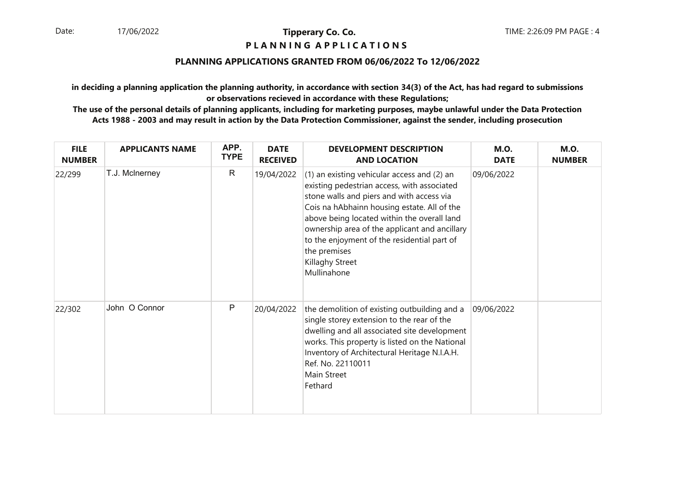# **P L A N N I N G A P P L I C A T I O N S**

# **PLANNING APPLICATIONS GRANTED FROM 06/06/2022 To 12/06/2022**

**in deciding a planning application the planning authority, in accordance with section 34(3) of the Act, has had regard to submissionsor observations recieved in accordance with these Regulations;**

| <b>FILE</b><br><b>NUMBER</b> | <b>APPLICANTS NAME</b> | APP.<br><b>TYPE</b> | <b>DATE</b><br><b>RECEIVED</b> | <b>DEVELOPMENT DESCRIPTION</b><br><b>AND LOCATION</b>                                                                                                                                                                                                                                                                                                                                   | <b>M.O.</b><br><b>DATE</b> | <b>M.O.</b><br><b>NUMBER</b> |
|------------------------------|------------------------|---------------------|--------------------------------|-----------------------------------------------------------------------------------------------------------------------------------------------------------------------------------------------------------------------------------------------------------------------------------------------------------------------------------------------------------------------------------------|----------------------------|------------------------------|
| 22/299                       | T.J. McInerney         | $\mathsf{R}$        | 19/04/2022                     | (1) an existing vehicular access and (2) an<br>existing pedestrian access, with associated<br>stone walls and piers and with access via<br>Cois na hAbhainn housing estate. All of the<br>above being located within the overall land<br>ownership area of the applicant and ancillary<br>to the enjoyment of the residential part of<br>the premises<br>Killaghy Street<br>Mullinahone | 09/06/2022                 |                              |
| 22/302                       | John O Connor          | P                   | 20/04/2022                     | the demolition of existing outbuilding and a<br>single storey extension to the rear of the<br>dwelling and all associated site development<br>works. This property is listed on the National<br>Inventory of Architectural Heritage N.I.A.H.<br>Ref. No. 22110011<br>Main Street<br>Fethard                                                                                             | 09/06/2022                 |                              |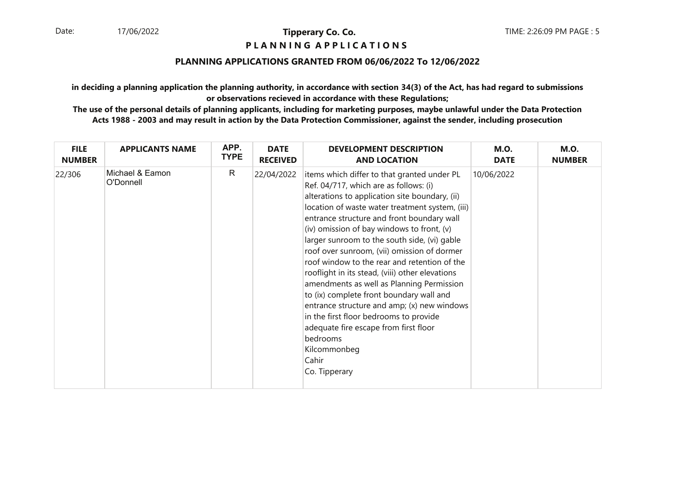# **P L A N N I N G A P P L I C A T I O N S**

# **PLANNING APPLICATIONS GRANTED FROM 06/06/2022 To 12/06/2022**

**in deciding a planning application the planning authority, in accordance with section 34(3) of the Act, has had regard to submissionsor observations recieved in accordance with these Regulations;**

| <b>FILE</b>   | <b>APPLICANTS NAME</b>       | APP.         | <b>DATE</b>     | <b>DEVELOPMENT DESCRIPTION</b>                                                                                                                                                                                                                                                                                                                                                                                                                                                                                                                                                                                                                                                                                                                                            | <b>M.O.</b> | <b>M.O.</b>   |
|---------------|------------------------------|--------------|-----------------|---------------------------------------------------------------------------------------------------------------------------------------------------------------------------------------------------------------------------------------------------------------------------------------------------------------------------------------------------------------------------------------------------------------------------------------------------------------------------------------------------------------------------------------------------------------------------------------------------------------------------------------------------------------------------------------------------------------------------------------------------------------------------|-------------|---------------|
| <b>NUMBER</b> |                              | <b>TYPE</b>  | <b>RECEIVED</b> | <b>AND LOCATION</b>                                                                                                                                                                                                                                                                                                                                                                                                                                                                                                                                                                                                                                                                                                                                                       | <b>DATE</b> | <b>NUMBER</b> |
| 22/306        | Michael & Eamon<br>O'Donnell | $\mathsf{R}$ | 22/04/2022      | items which differ to that granted under PL<br>Ref. 04/717, which are as follows: (i)<br>alterations to application site boundary, (ii)<br>location of waste water treatment system, (iii)<br>entrance structure and front boundary wall<br>(iv) omission of bay windows to front, (v)<br>larger sunroom to the south side, (vi) gable<br>roof over sunroom, (vii) omission of dormer<br>roof window to the rear and retention of the<br>rooflight in its stead, (viii) other elevations<br>amendments as well as Planning Permission<br>to (ix) complete front boundary wall and<br>entrance structure and amp; (x) new windows<br>in the first floor bedrooms to provide<br>adequate fire escape from first floor<br>bedrooms<br>Kilcommonbeg<br>Cahir<br>Co. Tipperary | 10/06/2022  |               |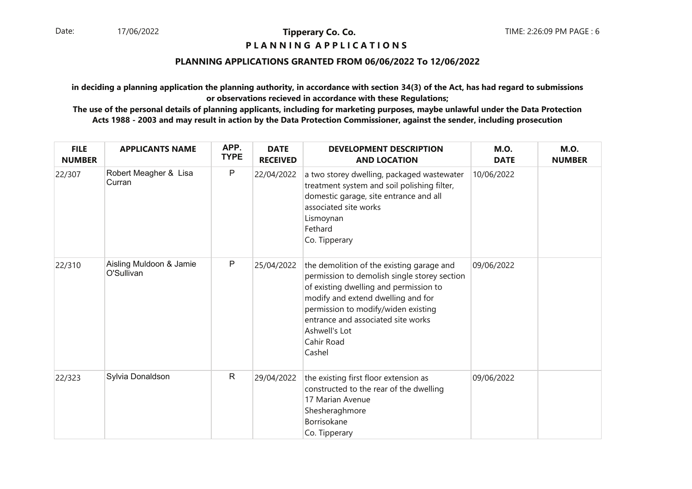# **P L A N N I N G A P P L I C A T I O N S**

# **PLANNING APPLICATIONS GRANTED FROM 06/06/2022 To 12/06/2022**

**in deciding a planning application the planning authority, in accordance with section 34(3) of the Act, has had regard to submissionsor observations recieved in accordance with these Regulations;**

| <b>FILE</b><br><b>NUMBER</b> | <b>APPLICANTS NAME</b>                | APP.<br><b>TYPE</b> | <b>DATE</b><br><b>RECEIVED</b> | <b>DEVELOPMENT DESCRIPTION</b><br><b>AND LOCATION</b>                                                                                                                                                                                                                                           | <b>M.O.</b><br><b>DATE</b> | <b>M.O.</b><br><b>NUMBER</b> |
|------------------------------|---------------------------------------|---------------------|--------------------------------|-------------------------------------------------------------------------------------------------------------------------------------------------------------------------------------------------------------------------------------------------------------------------------------------------|----------------------------|------------------------------|
| 22/307                       | Robert Meagher & Lisa<br>Curran       | ${\sf P}$           | 22/04/2022                     | a two storey dwelling, packaged wastewater<br>treatment system and soil polishing filter,<br>domestic garage, site entrance and all<br>associated site works<br>Lismoynan<br>Fethard<br>Co. Tipperary                                                                                           | 10/06/2022                 |                              |
| 22/310                       | Aisling Muldoon & Jamie<br>O'Sullivan | P                   | 25/04/2022                     | the demolition of the existing garage and<br>permission to demolish single storey section<br>of existing dwelling and permission to<br>modify and extend dwelling and for<br>permission to modify/widen existing<br>entrance and associated site works<br>Ashwell's Lot<br>Cahir Road<br>Cashel | 09/06/2022                 |                              |
| 22/323                       | Sylvia Donaldson                      | $\mathsf{R}$        | 29/04/2022                     | the existing first floor extension as<br>constructed to the rear of the dwelling<br>17 Marian Avenue<br>Shesheraghmore<br>Borrisokane<br>Co. Tipperary                                                                                                                                          | 09/06/2022                 |                              |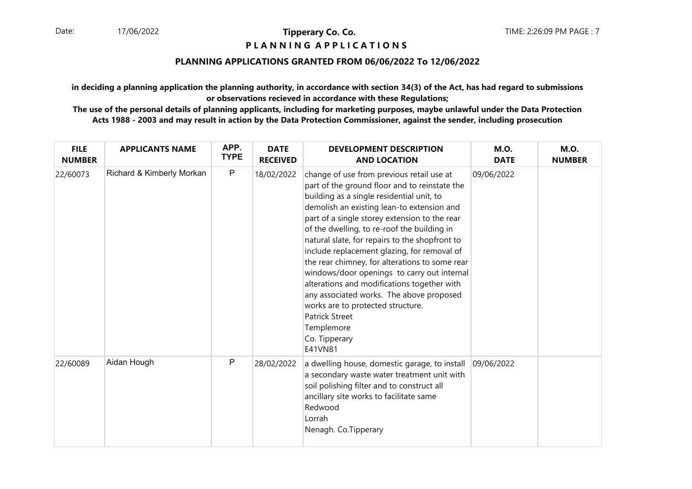# **P L A N N I N G A P P L I C A T I O N S**

# **PLANNING APPLICATIONS GRANTED FROM 06/06/2022 To 12/06/2022**

**in deciding a planning application the planning authority, in accordance with section 34(3) of the Act, has had regard to submissionsor observations recieved in accordance with these Regulations;**

| <b>FILE</b><br><b>NUMBER</b> | <b>APPLICANTS NAME</b>    | APP.<br><b>TYPE</b> | <b>DATE</b><br><b>RECEIVED</b> | <b>DEVELOPMENT DESCRIPTION</b><br><b>AND LOCATION</b>                                                                                                                                                                                                                                                                                                                                                                                                                                                                                                                                                                                                                                      | <b>M.O.</b><br><b>DATE</b> | <b>M.O.</b><br><b>NUMBER</b> |
|------------------------------|---------------------------|---------------------|--------------------------------|--------------------------------------------------------------------------------------------------------------------------------------------------------------------------------------------------------------------------------------------------------------------------------------------------------------------------------------------------------------------------------------------------------------------------------------------------------------------------------------------------------------------------------------------------------------------------------------------------------------------------------------------------------------------------------------------|----------------------------|------------------------------|
| 22/60073                     | Richard & Kimberly Morkan | $\mathsf P$         | 18/02/2022                     | change of use from previous retail use at<br>part of the ground floor and to reinstate the<br>building as a single residential unit, to<br>demolish an existing lean-to extension and<br>part of a single storey extension to the rear<br>of the dwelling, to re-roof the building in<br>natural slate, for repairs to the shopfront to<br>include replacement glazing, for removal of<br>the rear chimney, for alterations to some rear<br>windows/door openings to carry out internal<br>alterations and modifications together with<br>any associated works. The above proposed<br>works are to protected structure.<br><b>Patrick Street</b><br>Templemore<br>Co. Tipperary<br>E41VN81 | 09/06/2022                 |                              |
| 22/60089                     | Aidan Hough               | P                   | 28/02/2022                     | a dwelling house, domestic garage, to install<br>a secondary waste water treatment unit with<br>soil polishing filter and to construct all<br>ancillary site works to facilitate same<br>Redwood<br>Lorrah<br>Nenagh. Co.Tipperary                                                                                                                                                                                                                                                                                                                                                                                                                                                         | 09/06/2022                 |                              |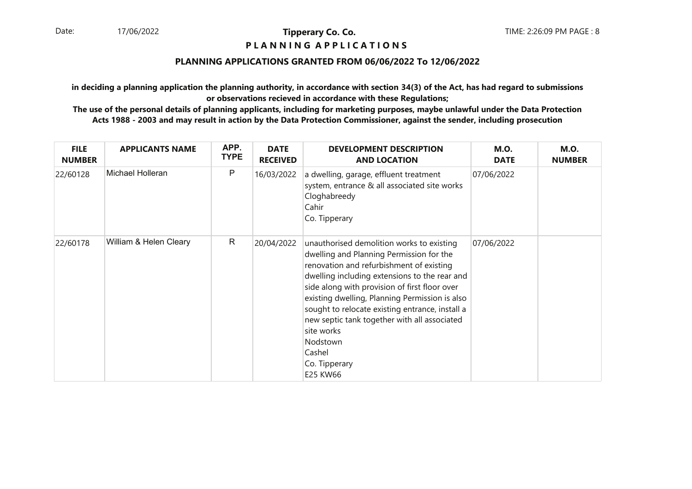# **P L A N N I N G A P P L I C A T I O N S**

# **PLANNING APPLICATIONS GRANTED FROM 06/06/2022 To 12/06/2022**

**in deciding a planning application the planning authority, in accordance with section 34(3) of the Act, has had regard to submissionsor observations recieved in accordance with these Regulations;**

| <b>FILE</b><br><b>NUMBER</b> | <b>APPLICANTS NAME</b> | APP.<br><b>TYPE</b> | <b>DATE</b><br><b>RECEIVED</b> | <b>DEVELOPMENT DESCRIPTION</b><br><b>AND LOCATION</b>                                                                                                                                                                                                                                                                                                                                                                                                     | <b>M.O.</b><br><b>DATE</b> | <b>M.O.</b><br><b>NUMBER</b> |
|------------------------------|------------------------|---------------------|--------------------------------|-----------------------------------------------------------------------------------------------------------------------------------------------------------------------------------------------------------------------------------------------------------------------------------------------------------------------------------------------------------------------------------------------------------------------------------------------------------|----------------------------|------------------------------|
| 22/60128                     | Michael Holleran       | P                   | 16/03/2022                     | a dwelling, garage, effluent treatment<br>system, entrance & all associated site works<br>Cloghabreedy<br>Cahir<br>Co. Tipperary                                                                                                                                                                                                                                                                                                                          | 07/06/2022                 |                              |
| 22/60178                     | William & Helen Cleary | R                   | 20/04/2022                     | unauthorised demolition works to existing<br>dwelling and Planning Permission for the<br>renovation and refurbishment of existing<br>dwelling including extensions to the rear and<br>side along with provision of first floor over<br>existing dwelling, Planning Permission is also<br>sought to relocate existing entrance, install a<br>new septic tank together with all associated<br>site works<br>Nodstown<br>Cashel<br>Co. Tipperary<br>E25 KW66 | 07/06/2022                 |                              |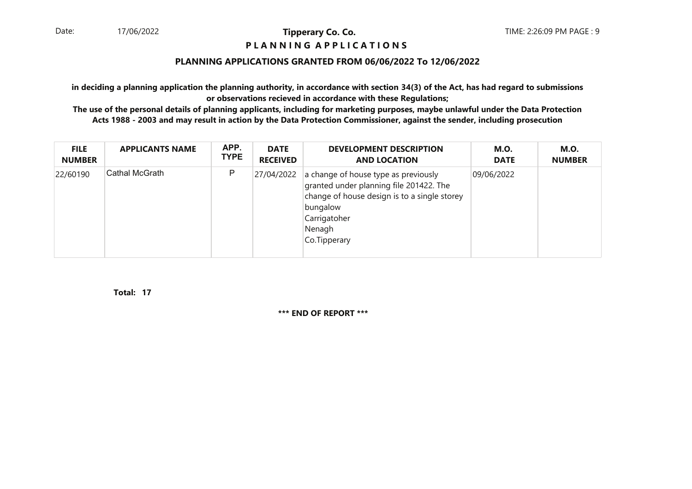# **P L A N N I N G A P P L I C A T I O N S**

# **PLANNING APPLICATIONS GRANTED FROM 06/06/2022 To 12/06/2022**

**in deciding a planning application the planning authority, in accordance with section 34(3) of the Act, has had regard to submissionsor observations recieved in accordance with these Regulations;**

 **The use of the personal details of planning applicants, including for marketing purposes, maybe unlawful under the Data ProtectionActs 1988 - 2003 and may result in action by the Data Protection Commissioner, against the sender, including prosecution**

| <b>FILE</b>   | <b>APPLICANTS NAME</b> | APP.        | <b>DATE</b>     | <b>DEVELOPMENT DESCRIPTION</b>                                                                                                                                                        | <b>M.O.</b> | <b>M.O.</b>   |
|---------------|------------------------|-------------|-----------------|---------------------------------------------------------------------------------------------------------------------------------------------------------------------------------------|-------------|---------------|
| <b>NUMBER</b> |                        | <b>TYPE</b> | <b>RECEIVED</b> | <b>AND LOCATION</b>                                                                                                                                                                   | <b>DATE</b> | <b>NUMBER</b> |
| 22/60190      | ∣Cathal McGrath        | P           | 27/04/2022      | a change of house type as previously<br>granted under planning file 201422. The<br>change of house design is to a single storey<br>bungalow<br>Carrigatoher<br>Nenagh<br>Co.Tipperary | 09/06/2022  |               |

**17Total:**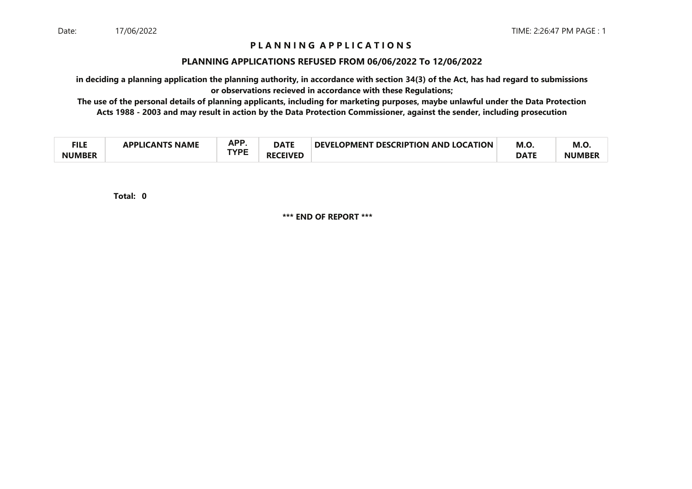# **P L A N N I N G A P P L I C A T I O N S**

#### **PLANNING APPLICATIONS REFUSED FROM 06/06/2022 To 12/06/2022**

**in deciding a planning application the planning authority, in accordance with section 34(3) of the Act, has had regard to submissionsor observations recieved in accordance with these Regulations;**

 **The use of the personal details of planning applicants, including for marketing purposes, maybe unlawful under the Data ProtectionActs 1988 - 2003 and may result in action by the Data Protection Commissioner, against the sender, including prosecution**

| ги с<br>−∎⊾⊾  | <b>NAME</b><br>21 Ι <i>Γ</i> ΔΝΤΚ<br><b>ADDI IC</b> | <b>APP</b><br>mі. | <b>DATE</b>         | <b>DEVELOPMENT</b><br><b>T DESCRIPTION AND LOCATION</b> | M.O         | M.O.          |
|---------------|-----------------------------------------------------|-------------------|---------------------|---------------------------------------------------------|-------------|---------------|
| <b>NUMBER</b> |                                                     | TVDC              | <b>CEIVED</b><br>RF |                                                         | <b>DATF</b> | <b>NUMBEI</b> |

**0Total:**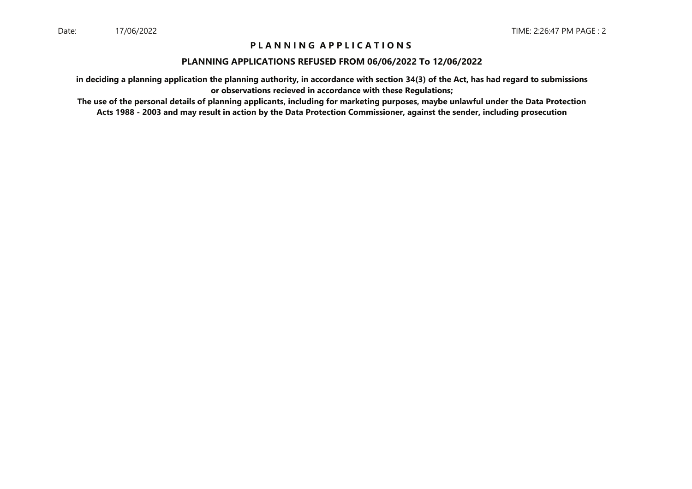# **P L A N N I N G A P P L I C A T I O N S**

### **PLANNING APPLICATIONS REFUSED FROM 06/06/2022 To 12/06/2022**

**in deciding a planning application the planning authority, in accordance with section 34(3) of the Act, has had regard to submissionsor observations recieved in accordance with these Regulations;**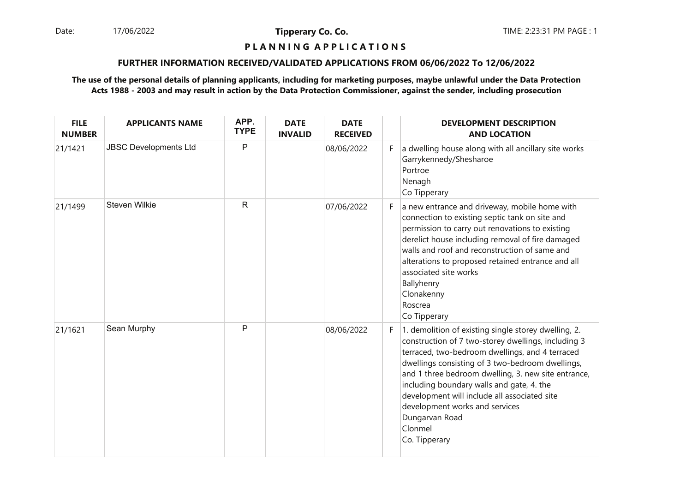Date: 17/06/2022 **Tipperary Co. Co. The:** 2:23:31 PM PAGE : 1 17/06/2022

**Tipperary Co. Co.**

# **P L A N N I N G A P P L I C A T I O N S**

#### **FURTHER INFORMATION RECEIVED/VALIDATED APPLICATIONS FROM 06/06/2022 To 12/06/2022**

| <b>FILE</b><br><b>NUMBER</b> | <b>APPLICANTS NAME</b>       | APP.<br><b>TYPE</b> | <b>DATE</b><br><b>INVALID</b> | <b>DATE</b><br><b>RECEIVED</b> |    | <b>DEVELOPMENT DESCRIPTION</b><br><b>AND LOCATION</b>                                                                                                                                                                                                                                                                                                                                                                                                  |
|------------------------------|------------------------------|---------------------|-------------------------------|--------------------------------|----|--------------------------------------------------------------------------------------------------------------------------------------------------------------------------------------------------------------------------------------------------------------------------------------------------------------------------------------------------------------------------------------------------------------------------------------------------------|
| 21/1421                      | <b>JBSC Developments Ltd</b> | P                   |                               | 08/06/2022                     | F. | a dwelling house along with all ancillary site works<br>Garrykennedy/Shesharoe<br>Portroe<br>Nenagh<br>Co Tipperary                                                                                                                                                                                                                                                                                                                                    |
| 21/1499                      | <b>Steven Wilkie</b>         | $\mathsf{R}$        |                               | 07/06/2022                     | F. | a new entrance and driveway, mobile home with<br>connection to existing septic tank on site and<br>permission to carry out renovations to existing<br>derelict house including removal of fire damaged<br>walls and roof and reconstruction of same and<br>alterations to proposed retained entrance and all<br>associated site works<br>Ballyhenry<br>Clonakenny<br>Roscrea<br>Co Tipperary                                                           |
| 21/1621                      | Sean Murphy                  | P                   |                               | 08/06/2022                     | F. | 1. demolition of existing single storey dwelling, 2.<br>construction of 7 two-storey dwellings, including 3<br>terraced, two-bedroom dwellings, and 4 terraced<br>dwellings consisting of 3 two-bedroom dwellings,<br>and 1 three bedroom dwelling, 3. new site entrance,<br>including boundary walls and gate, 4. the<br>development will include all associated site<br>development works and services<br>Dungarvan Road<br>Clonmel<br>Co. Tipperary |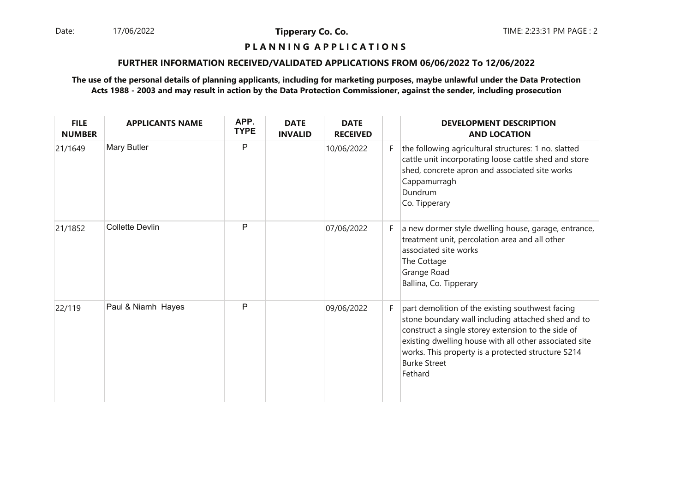Date: 17/06/2022 12:23:31 PM PAGE : 2 17/06/2022

**Tipperary Co. Co.**

# **P L A N N I N G A P P L I C A T I O N S**

#### **FURTHER INFORMATION RECEIVED/VALIDATED APPLICATIONS FROM 06/06/2022 To 12/06/2022**

| <b>FILE</b><br><b>NUMBER</b> | <b>APPLICANTS NAME</b> | APP.<br><b>TYPE</b> | <b>DATE</b><br><b>INVALID</b> | <b>DATE</b><br><b>RECEIVED</b> |    | <b>DEVELOPMENT DESCRIPTION</b><br><b>AND LOCATION</b>                                                                                                                                                                                                                                                          |
|------------------------------|------------------------|---------------------|-------------------------------|--------------------------------|----|----------------------------------------------------------------------------------------------------------------------------------------------------------------------------------------------------------------------------------------------------------------------------------------------------------------|
| 21/1649                      | Mary Butler            | P                   |                               | 10/06/2022                     | F. | the following agricultural structures: 1 no. slatted<br>cattle unit incorporating loose cattle shed and store<br>shed, concrete apron and associated site works<br>Cappamurragh<br>Dundrum<br>Co. Tipperary                                                                                                    |
| 21/1852                      | <b>Collette Devlin</b> | P                   |                               | 07/06/2022                     | F. | a new dormer style dwelling house, garage, entrance,<br>treatment unit, percolation area and all other<br>associated site works<br>The Cottage<br>Grange Road<br>Ballina, Co. Tipperary                                                                                                                        |
| 22/119                       | Paul & Niamh Hayes     | P                   |                               | 09/06/2022                     | F. | part demolition of the existing southwest facing<br>stone boundary wall including attached shed and to<br>construct a single storey extension to the side of<br>existing dwelling house with all other associated site<br>works. This property is a protected structure S214<br><b>Burke Street</b><br>Fethard |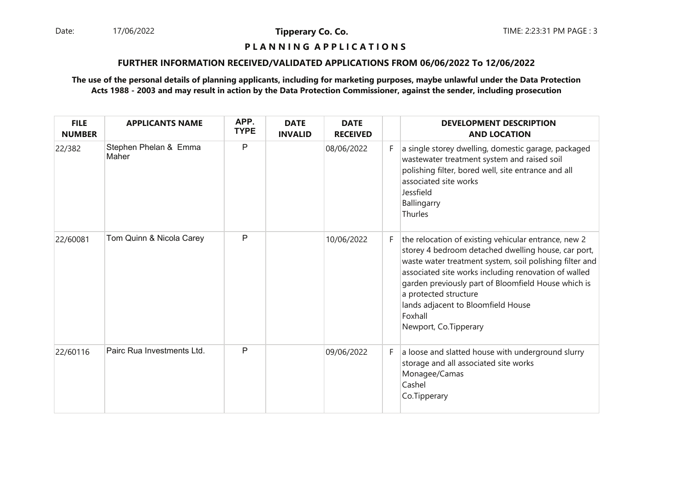Date: 17/06/2022 **Tipperary Co. Co. The Co. Co.** TIME: 2:23:31 PM PAGE : 3 17/06/2022

**Tipperary Co. Co.**

# **P L A N N I N G A P P L I C A T I O N S**

#### **FURTHER INFORMATION RECEIVED/VALIDATED APPLICATIONS FROM 06/06/2022 To 12/06/2022**

| <b>FILE</b><br><b>NUMBER</b> | <b>APPLICANTS NAME</b>         | APP.<br><b>TYPE</b> | <b>DATE</b><br><b>INVALID</b> | <b>DATE</b><br><b>RECEIVED</b> |    | <b>DEVELOPMENT DESCRIPTION</b><br><b>AND LOCATION</b>                                                                                                                                                                                                                                                                                                                                    |
|------------------------------|--------------------------------|---------------------|-------------------------------|--------------------------------|----|------------------------------------------------------------------------------------------------------------------------------------------------------------------------------------------------------------------------------------------------------------------------------------------------------------------------------------------------------------------------------------------|
| 22/382                       | Stephen Phelan & Emma<br>Maher | P                   |                               | 08/06/2022                     | F. | a single storey dwelling, domestic garage, packaged<br>wastewater treatment system and raised soil<br>polishing filter, bored well, site entrance and all<br>associated site works<br>Jessfield<br>Ballingarry<br>Thurles                                                                                                                                                                |
| 22/60081                     | Tom Quinn & Nicola Carey       | P                   |                               | 10/06/2022                     | F. | the relocation of existing vehicular entrance, new 2<br>storey 4 bedroom detached dwelling house, car port,<br>waste water treatment system, soil polishing filter and<br>associated site works including renovation of walled<br>garden previously part of Bloomfield House which is<br>a protected structure<br>lands adjacent to Bloomfield House<br>Foxhall<br>Newport, Co.Tipperary |
| 22/60116                     | Pairc Rua Investments Ltd.     | P                   |                               | 09/06/2022                     | F. | a loose and slatted house with underground slurry<br>storage and all associated site works<br>Monagee/Camas<br>Cashel<br>Co.Tipperary                                                                                                                                                                                                                                                    |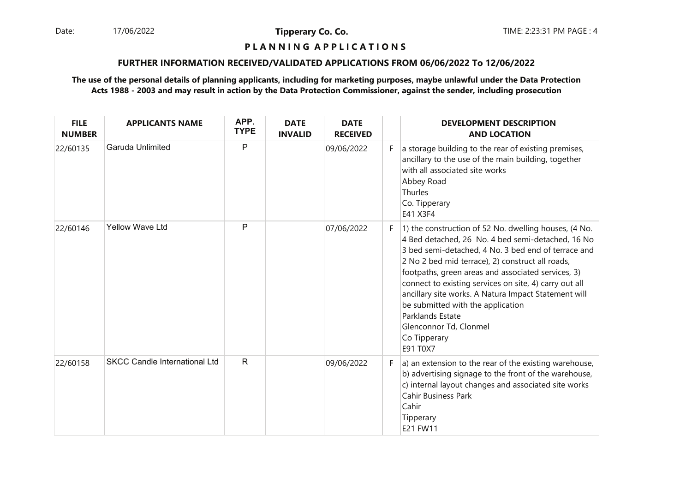Date: 17/06/2022 **Tipperary Co. Co. The Co. Co.** TIME: 2:23:31 PM PAGE : 4 17/06/2022

**Tipperary Co. Co.**

# **P L A N N I N G A P P L I C A T I O N S**

#### **FURTHER INFORMATION RECEIVED/VALIDATED APPLICATIONS FROM 06/06/2022 To 12/06/2022**

| <b>FILE</b><br><b>NUMBER</b> | <b>APPLICANTS NAME</b>               | APP.<br><b>TYPE</b> | <b>DATE</b><br><b>INVALID</b> | <b>DATE</b><br><b>RECEIVED</b> |    | <b>DEVELOPMENT DESCRIPTION</b><br><b>AND LOCATION</b>                                                                                                                                                                                                                                                                                                                                                                                                                                                               |
|------------------------------|--------------------------------------|---------------------|-------------------------------|--------------------------------|----|---------------------------------------------------------------------------------------------------------------------------------------------------------------------------------------------------------------------------------------------------------------------------------------------------------------------------------------------------------------------------------------------------------------------------------------------------------------------------------------------------------------------|
| 22/60135                     | Garuda Unlimited                     | P                   |                               | 09/06/2022                     | F. | a storage building to the rear of existing premises,<br>ancillary to the use of the main building, together<br>with all associated site works<br>Abbey Road<br>Thurles<br>Co. Tipperary<br>E41 X3F4                                                                                                                                                                                                                                                                                                                 |
| 22/60146                     | <b>Yellow Wave Ltd</b>               | P                   |                               | 07/06/2022                     | F. | 1) the construction of 52 No. dwelling houses, (4 No.<br>4 Bed detached, 26 No. 4 bed semi-detached, 16 No<br>3 bed semi-detached, 4 No. 3 bed end of terrace and<br>2 No 2 bed mid terrace), 2) construct all roads,<br>footpaths, green areas and associated services, 3)<br>connect to existing services on site, 4) carry out all<br>ancillary site works. A Natura Impact Statement will<br>be submitted with the application<br>Parklands Estate<br>Glenconnor Td, Clonmel<br>Co Tipperary<br><b>E91 T0X7</b> |
| 22/60158                     | <b>SKCC Candle International Ltd</b> | $\mathsf{R}$        |                               | 09/06/2022                     | F. | a) an extension to the rear of the existing warehouse,<br>b) advertising signage to the front of the warehouse,<br>c) internal layout changes and associated site works<br><b>Cahir Business Park</b><br>Cahir<br>Tipperary<br>E21 FW11                                                                                                                                                                                                                                                                             |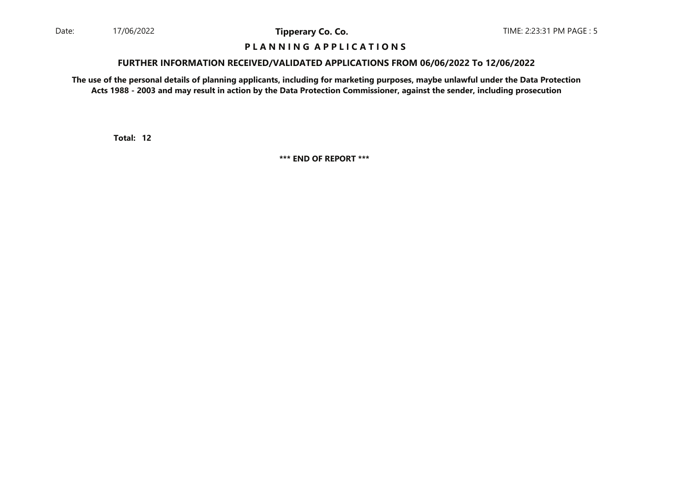## **P L A N N I N G A P P L I C A T I O N S**

#### **FURTHER INFORMATION RECEIVED/VALIDATED APPLICATIONS FROM 06/06/2022 To 12/06/2022**

**The use of the personal details of planning applicants, including for marketing purposes, maybe unlawful under the Data ProtectionActs 1988 - 2003 and may result in action by the Data Protection Commissioner, against the sender, including prosecution**

**12Total:**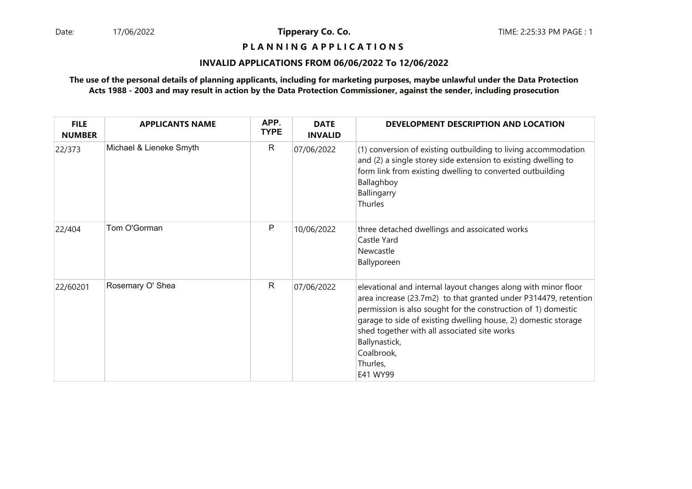# **P L A N N I N G A P P L I C A T I O N S**

#### **INVALID APPLICATIONS FROM 06/06/2022 To 12/06/2022**

| <b>FILE</b><br><b>NUMBER</b> | <b>APPLICANTS NAME</b>  | APP.<br><b>TYPE</b> | <b>DATE</b><br><b>INVALID</b> | DEVELOPMENT DESCRIPTION AND LOCATION                                                                                                                                                                                                                                                                                                                                        |
|------------------------------|-------------------------|---------------------|-------------------------------|-----------------------------------------------------------------------------------------------------------------------------------------------------------------------------------------------------------------------------------------------------------------------------------------------------------------------------------------------------------------------------|
| 22/373                       | Michael & Lieneke Smyth | R                   | 07/06/2022                    | (1) conversion of existing outbuilding to living accommodation<br>and (2) a single storey side extension to existing dwelling to<br>form link from existing dwelling to converted outbuilding<br>Ballaghboy<br>Ballingarry<br>Thurles                                                                                                                                       |
| 22/404                       | Tom O'Gorman            | Ρ                   | 10/06/2022                    | three detached dwellings and assoicated works<br>Castle Yard<br>Newcastle<br>Ballyporeen                                                                                                                                                                                                                                                                                    |
| 22/60201                     | Rosemary O' Shea        | $\mathsf{R}$        | 07/06/2022                    | elevational and internal layout changes along with minor floor<br>area increase (23.7m2) to that granted under P314479, retention<br>permission is also sought for the construction of 1) domestic<br>garage to side of existing dwelling house, 2) domestic storage<br>shed together with all associated site works<br>Ballynastick,<br>Coalbrook,<br>Thurles,<br>E41 WY99 |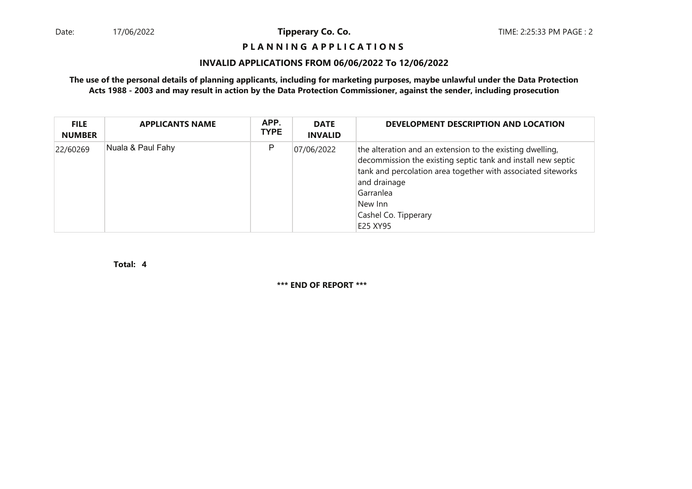# **P L A N N I N G A P P L I C A T I O N S**

#### **INVALID APPLICATIONS FROM 06/06/2022 To 12/06/2022**

**The use of the personal details of planning applicants, including for marketing purposes, maybe unlawful under the Data ProtectionActs 1988 - 2003 and may result in action by the Data Protection Commissioner, against the sender, including prosecution**

| <b>FILE</b><br><b>NUMBER</b> | <b>APPLICANTS NAME</b> | APP.<br><b>TYPE</b> | <b>DATE</b><br><b>INVALID</b> | DEVELOPMENT DESCRIPTION AND LOCATION                                                                                                                                                                                                                                  |
|------------------------------|------------------------|---------------------|-------------------------------|-----------------------------------------------------------------------------------------------------------------------------------------------------------------------------------------------------------------------------------------------------------------------|
| 22/60269                     | Nuala & Paul Fahy      | Ρ                   | 07/06/2022                    | the alteration and an extension to the existing dwelling,<br>decommission the existing septic tank and install new septic<br>tank and percolation area together with associated siteworks<br>and drainage<br>Garranlea<br>New Inn<br>Cashel Co. Tipperary<br>E25 XY95 |

**4Total:**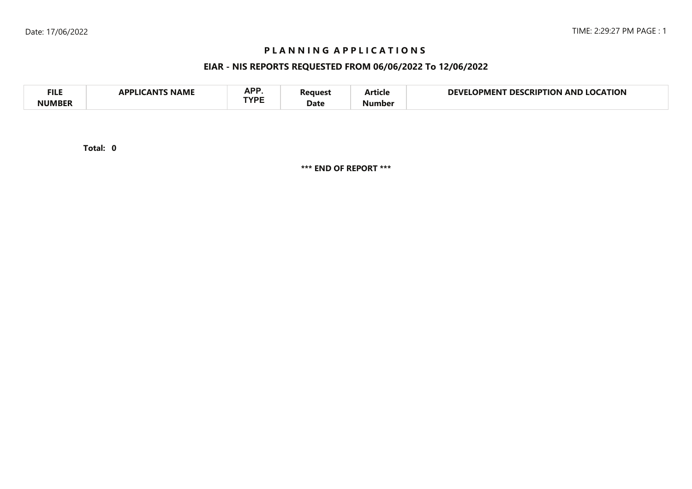# **P L A N N I N G A P P L I C A T I O N S**

# **EIAR - NIS REPORTS REQUESTED FROM 06/06/2022 To 12/06/2022**

| <b>FILE</b> | <b>NAME</b><br>A DDI IG<br>л NI | <b>ADD</b><br>NF I<br>TVDC | 'eaues'<br>Date | - -<br>Article | <b>LOCATION</b><br>NFVI<br><b>LOCKIPTION</b><br>DES<br>OPMENT<br>AND |  |
|-------------|---------------------------------|----------------------------|-----------------|----------------|----------------------------------------------------------------------|--|
| NIIMRFR     |                                 |                            |                 | Number         |                                                                      |  |

**0Total:**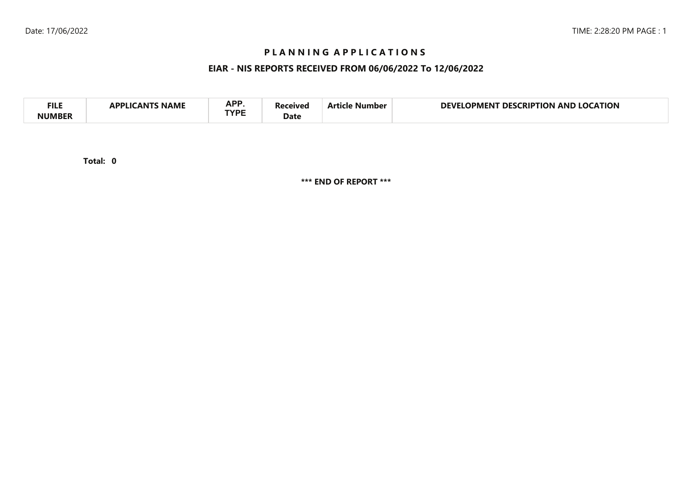# **P L A N N I N G A P P L I C A T I O N S**

# **EIAR - NIS REPORTS RECEIVED FROM 06/06/2022 To 12/06/2022**

| <b>APP</b><br><b>FILI</b><br><b>CATION</b><br>DEVI<br>AND<br>no<br>RIP.<br>ΓΙΩΝ<br>DES.<br>11701<br>Vumber<br>IPMEN I<br>NAML<br><b>TVDC</b><br>Date |  |
|------------------------------------------------------------------------------------------------------------------------------------------------------|--|
|------------------------------------------------------------------------------------------------------------------------------------------------------|--|

**0Total:**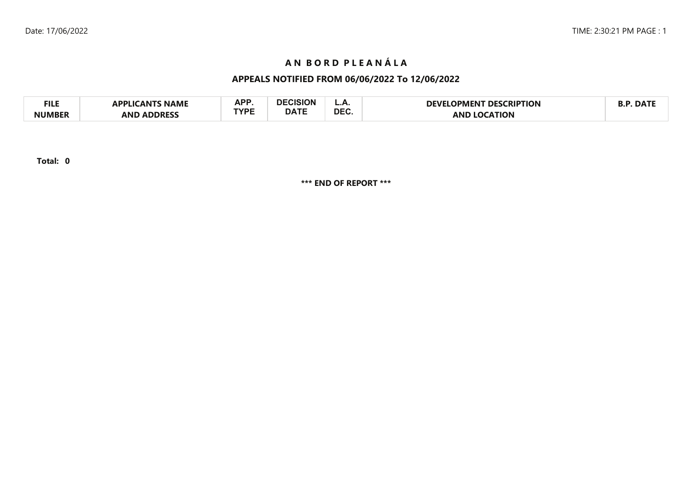# **A N B O R D P L E A N Á L A**

# **APPEALS NOTIFIED FROM 06/06/2022 To 12/06/2022**

| FILE          | <b>APPLICANTS NAME</b> | <b>ADD</b> | DECISION    | L.A.       | <b>T DESCRIPTION</b><br>LOPMENT<br><b>DEVE!</b> | <b>DAT</b> |
|---------------|------------------------|------------|-------------|------------|-------------------------------------------------|------------|
| <b>NUMBER</b> | <b>ADDRESS</b><br>AND  | rvdc       | <b>DATE</b> | <b>DEC</b> | <b>LOCATION</b><br>AND                          |            |

**Total: 0**